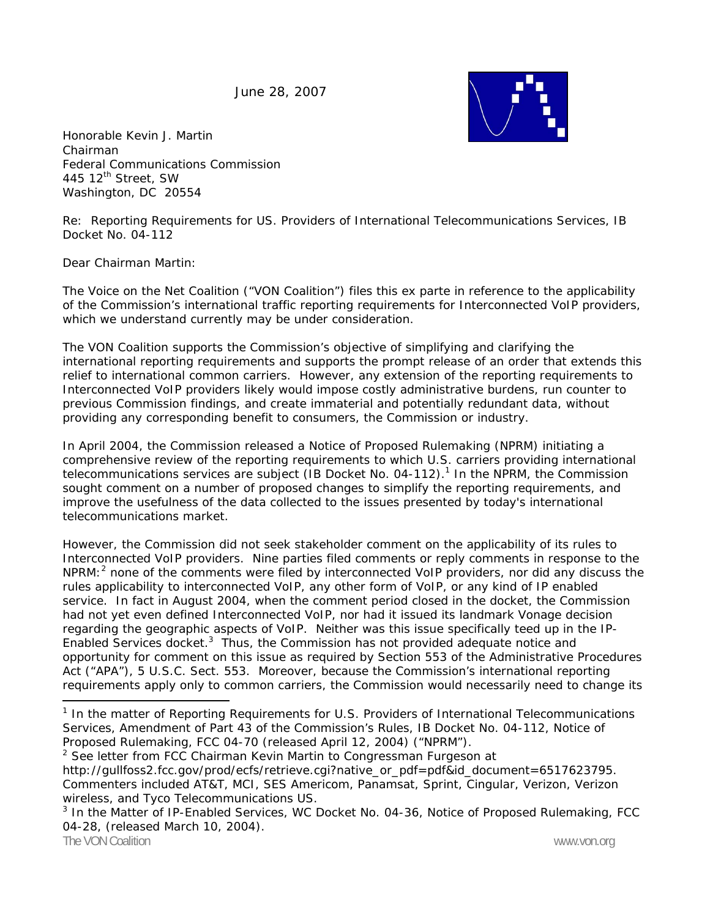June 28, 2007



Honorable Kevin J. Martin Chairman Federal Communications Commission 445 12<sup>th</sup> Street, SW Washington, DC 20554

Re: Reporting Requirements for US. Providers of International Telecommunications Services, IB Docket No. 04-112

Dear Chairman Martin:

The Voice on the Net Coalition ("VON Coalition") files this *ex parte* in reference to the applicability of the Commission's international traffic reporting requirements for Interconnected VoIP providers, which we understand currently may be under consideration.

The VON Coalition supports the Commission's objective of simplifying and clarifying the international reporting requirements and supports the prompt release of an order that extends this relief to international common carriers. However, any extension of the reporting requirements to Interconnected VoIP providers likely would impose costly administrative burdens, run counter to previous Commission findings, and create immaterial and potentially redundant data, without providing any corresponding benefit to consumers, the Commission or industry.

In April 2004, the Commission released a Notice of Proposed Rulemaking (NPRM) initiating a comprehensive review of the reporting requirements to which U.S. carriers providing international telecommunications services are subject (IB Docket No. 04-112).<sup>1</sup> In the NPRM, the Commission sought comment on a number of proposed changes to simplify the reporting requirements, and improve the usefulness of the data collected to the issues presented by today's international telecommunications market.

However, the Commission did not seek stakeholder comment on the applicability of its rules to Interconnected VoIP providers. Nine parties filed comments or reply comments in response to the NPRM: $<sup>2</sup>$  none of the comments were filed by interconnected VoIP providers, nor did any discuss the</sup> rules applicability to interconnected VoIP, any other form of VoIP, or any kind of IP enabled service. In fact in August 2004, when the comment period closed in the docket, the Commission had not yet even defined Interconnected VoIP, nor had it issued its landmark Vonage decision regarding the geographic aspects of VoIP. Neither was this issue specifically teed up in the IP-Enabled Services docket.<sup>3</sup> Thus, the Commission has not provided adequate notice and opportunity for comment on this issue as required by Section 553 of the Administrative Procedures Act ("APA"), 5 U.S.C. Sect. 553. Moreover, because the Commission's international reporting requirements apply only to common carriers, the Commission would necessarily need to change its

<sup>1</sup> *In the matter of Reporting Requirements for U.S. Providers of International Telecommunications Services, Amendment of Part 43 of the Commission's Rules*, IB Docket No. 04-112, Notice of Proposed Rulemaking, FCC 04-70 (released April 12, 2004) ("NPRM").

<sup>&</sup>lt;sup>2</sup> See letter from FCC Chairman Kevin Martin to Congressman Furgeson at http://gullfoss2.fcc.gov/prod/ecfs/retrieve.cgi?native\_or\_pdf=pdf&id\_document=6517623795. Commenters included AT&T, MCI, SES Americom, Panamsat, Sprint, Cingular, Verizon, Verizon wireless, and Tyco Telecommunications US.

The VON Coalition www.von.org and the VON Coalition www.von.org www.von.org <sup>3</sup> *In the Matter of IP-Enabled Services*, WC Docket No. 04-36, Notice of Proposed Rulemaking, FCC 04-28, (released March 10, 2004).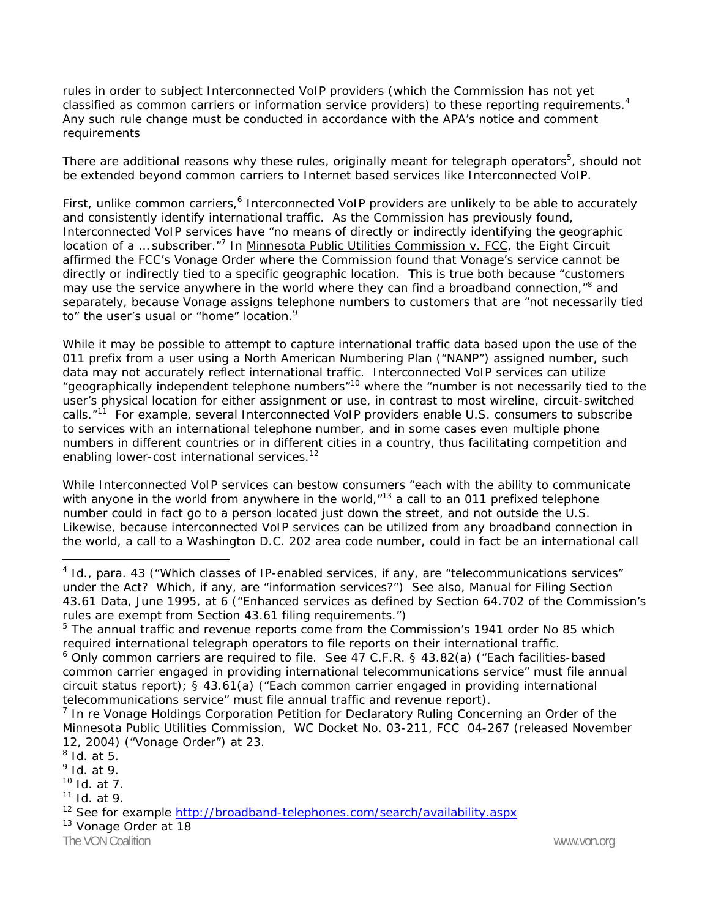rules in order to subject Interconnected VoIP providers (which the Commission has not yet classified as common carriers or information service providers) to these reporting requirements.<sup>4</sup> Any such rule change must be conducted in accordance with the APA's notice and comment requirements

There are additional reasons why these rules, originally meant for telegraph operators<sup>5</sup>, should not be extended beyond common carriers to Internet based services like Interconnected VoIP.

First, unlike common carriers,<sup>6</sup> Interconnected VoIP providers are unlikely to be able to accurately and consistently identify international traffic. As the Commission has previously found, Interconnected VoIP services have "no means of directly or indirectly identifying the geographic location of a ... subscriber."<sup>7</sup> In Minnesota Public Utilities Commission v. FCC, the Eight Circuit affirmed the FCC's Vonage Order where the Commission found that Vonage's service cannot be directly or indirectly tied to a specific geographic location. This is true both because "customers may use the service anywhere in the world where they can find a broadband connection,"<sup>8</sup> and separately, because Vonage assigns telephone numbers to customers that are "not necessarily tied to" the user's usual or "home" location.<sup>9</sup>

While it may be possible to attempt to capture international traffic data based upon the use of the 011 prefix from a user using a North American Numbering Plan ("NANP") assigned number, such data may not accurately reflect international traffic. Interconnected VoIP services can utilize "geographically independent telephone numbers"<sup>10</sup> where the "number is not necessarily tied to the user's physical location for either assignment or use, in contrast to most wireline, circuit-switched calls."<sup>11</sup> For example, several Interconnected VoIP providers enable U.S. consumers to subscribe to services with an international telephone number, and in some cases even multiple phone numbers in different countries or in different cities in a country, thus facilitating competition and enabling lower-cost international services.<sup>12</sup>

While Interconnected VoIP services can bestow consumers "each with the ability to communicate with anyone in the world from anywhere in the world,<sup>"13</sup> a call to an 011 prefixed telephone number could in fact go to a person located just down the street, and not outside the U.S. Likewise, because interconnected VoIP services can be utilized from any broadband connection in the world, a call to a Washington D.C. 202 area code number, could in fact be an international call

1

The VON Coalition www.von.org **The VON Coalition** www.von.org

<sup>&</sup>lt;sup>4</sup> Id., para. 43 ("Which classes of IP-enabled services, if any, are "telecommunications services" under the Act? Which, if any, are "information services?") *See also,* Manual for Filing Section 43.61 Data, June 1995, at 6 ("Enhanced services as defined by Section 64.702 of the Commission's rules are exempt from Section 43.61 filing requirements.")

<sup>&</sup>lt;sup>5</sup> The annual traffic and revenue reports come from the Commission's 1941 order No 85 which required international telegraph operators to file reports on their international traffic.

 $6$  Only common carriers are required to file. See 47 C.F.R. § 43.82(a) ("Each facilities-based common carrier engaged in providing international telecommunications service" must file annual circuit status report); § 43.61(a) ("Each common carrier engaged in providing international telecommunications service" must file annual traffic and revenue report).

<sup>7</sup> *In re* Vonage Holdings Corporation Petition for Declaratory Ruling Concerning an Order of the Minnesota Public Utilities Commission, WC Docket No. 03-211, FCC 04-267 (released November 12, 2004) ("Vonage Order") at 23.

<sup>8</sup> *Id.* at 5.

<sup>9</sup> *Id*. at 9.

<sup>10</sup> *Id.* at 7.

<sup>11</sup> *Id.* at 9.

<sup>&</sup>lt;sup>12</sup> See for example http://broadband-telephones.com/search/availability.aspx<br><sup>13</sup> Vonage Order at 18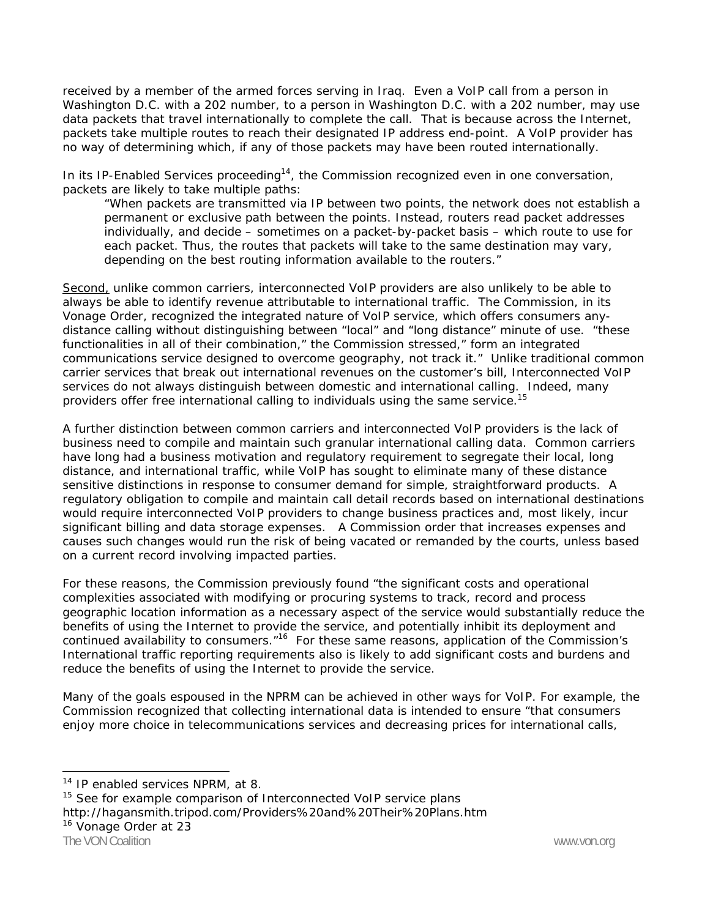received by a member of the armed forces serving in Iraq. Even a VoIP call from a person in Washington D.C. with a 202 number, to a person in Washington D.C. with a 202 number, may use data packets that travel internationally to complete the call. That is because across the Internet, packets take multiple routes to reach their designated IP address end-point. A VoIP provider has no way of determining which, if any of those packets may have been routed internationally.

In its IP-Enabled Services proceeding<sup>14</sup>, the Commission recognized even in one conversation, packets are likely to take multiple paths:

*"When packets are transmitted via IP between two points, the network does not establish a permanent or exclusive path between the points. Instead, routers read packet addresses individually, and decide – sometimes on a packet-by-packet basis – which route to use for each packet. Thus, the routes that packets will take to the same destination may vary, depending on the best routing information available to the routers."* 

Second, unlike common carriers, interconnected VoIP providers are also unlikely to be able to always be able to identify revenue attributable to international traffic. The Commission, in its Vonage Order, recognized the integrated nature of VoIP service, which offers consumers anydistance calling without distinguishing between "local" and "long distance" minute of use. "these functionalities in all of their combination," the Commission stressed," form an integrated communications service designed to overcome geography, not track it." Unlike traditional common carrier services that break out international revenues on the customer's bill, Interconnected VoIP services do not always distinguish between domestic and international calling. Indeed, many providers offer free international calling to individuals using the same service.15

A further distinction between common carriers and interconnected VoIP providers is the lack of business need to compile and maintain such granular international calling data. Common carriers have long had a business motivation and regulatory requirement to segregate their local, long distance, and international traffic, while VoIP has sought to eliminate many of these distance sensitive distinctions in response to consumer demand for simple, straightforward products. A regulatory obligation to compile and maintain call detail records based on international destinations would require interconnected VoIP providers to change business practices and, most likely, incur significant billing and data storage expenses. A Commission order that increases expenses and causes such changes would run the risk of being vacated or remanded by the courts, unless based on a current record involving impacted parties.

For these reasons, the Commission previously found "the significant costs and operational complexities associated with modifying or procuring systems to track, record and process geographic location information as a necessary aspect of the service would substantially reduce the benefits of using the Internet to provide the service, and potentially inhibit its deployment and continued availability to consumers.<sup>"16</sup> For these same reasons, application of the Commission's International traffic reporting requirements also is likely to add significant costs and burdens and reduce the benefits of using the Internet to provide the service.

Many of the goals espoused in the NPRM can be achieved in other ways for VoIP. For example, the Commission recognized that collecting international data is intended to ensure "that consumers enjoy more choice in telecommunications services and decreasing prices for international calls,

 <sup>14</sup> IP enabled services NPRM, at 8.

<sup>&</sup>lt;sup>15</sup> See for example comparison of Interconnected VoIP service plans http://hagansmith.tripod.com/Providers%20and%20Their%20Plans.htm <sup>16</sup> Vonage Order at 23